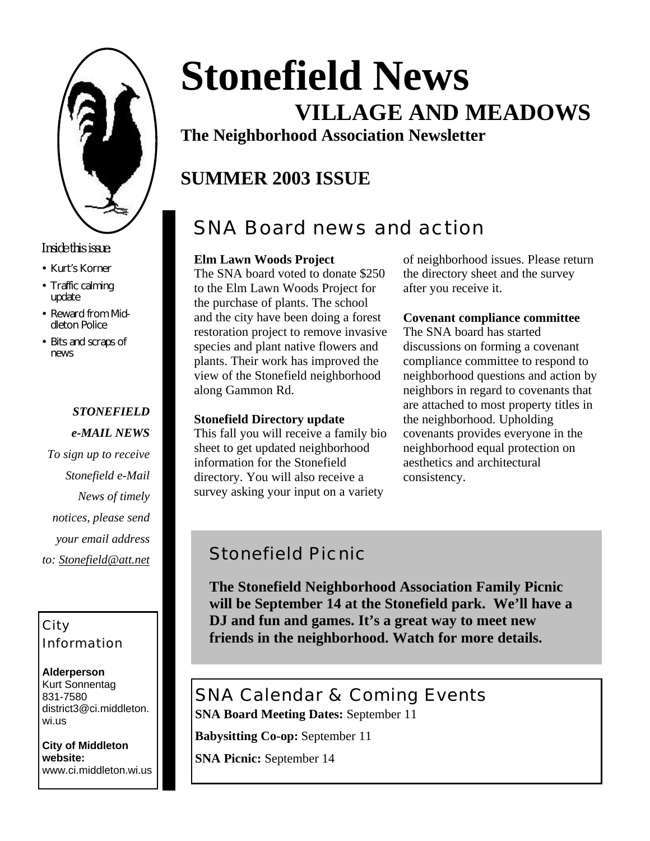

### *Inside this issue:*

- Kurt's Korner
- Traffic calming update
- Reward from Middleton Police
- Bits and scraps of news

# *STONEFIELD*

- *e-MAIL NEWS*
- *To sign up to receive Stonefield e-Mail News of timely notices, please send your email address to: Stonefield@att.net*

### City Information

**Alderperson** Kurt Sonnentag 831-7580 district3@ci.middleton. wi.us

**City of Middleton website:** www.ci.middleton.wi.us

# **Stonefield News VILLAGE AND MEADOWS**

**The Neighborhood Association Newsletter**

# **SUMMER 2003 ISSUE**

# SNA Board news and action

### **Elm Lawn Woods Project**

The SNA board voted to donate \$250 to the Elm Lawn Woods Project for the purchase of plants. The school and the city have been doing a forest restoration project to remove invasive species and plant native flowers and plants. Their work has improved the view of the Stonefield neighborhood along Gammon Rd.

### **Stonefield Directory update**

This fall you will receive a family bio sheet to get updated neighborhood information for the Stonefield directory. You will also receive a survey asking your input on a variety

of neighborhood issues. Please return the directory sheet and the survey after you receive it.

### **Covenant compliance committee**

The SNA board has started discussions on forming a covenant compliance committee to respond to neighborhood questions and action by neighbors in regard to covenants that are attached to most property titles in the neighborhood. Upholding covenants provides everyone in the neighborhood equal protection on aesthetics and architectural consistency.

### Stonefield Picnic

**The Stonefield Neighborhood Association Family Picnic will be September 14 at the Stonefield park. We'll have a DJ and fun and games. It's a great way to meet new friends in the neighborhood. Watch for more details.**

### SNA Calendar & Coming Events **SNA Board Meeting Dates:** September 11

**Babysitting Co-op:** September 11

**SNA Picnic:** September 14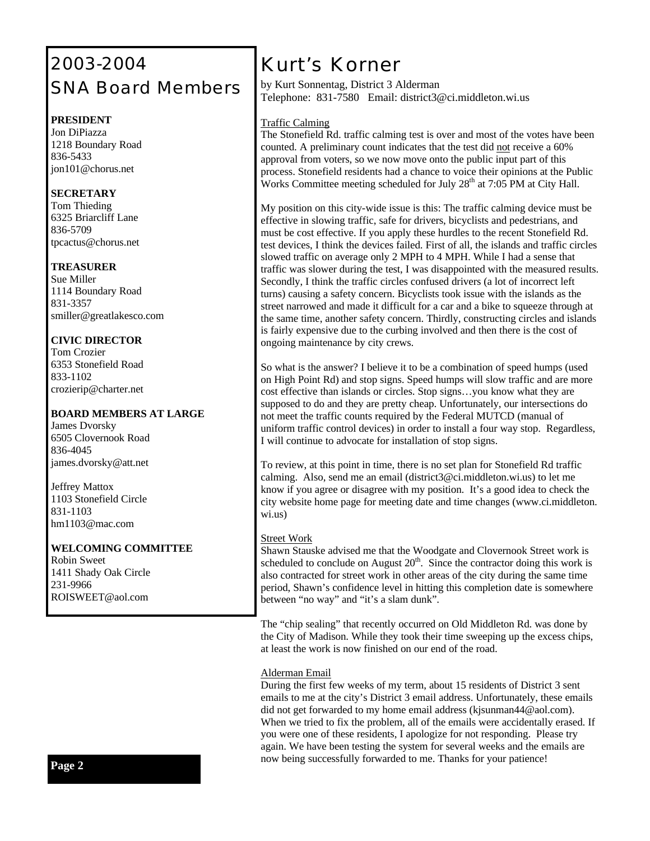# 2003-2004 SNA Board Members

### **PRESIDENT**

Jon DiPiazza 1218 Boundary Road 836-5433 jon101@chorus.net

### **SECRETARY**

Tom Thieding 6325 Briarcliff Lane 836-5709 tpcactus@chorus.net

#### **TREASURER**

Sue Miller 1114 Boundary Road 831-3357 smiller@greatlakesco.com

### **CIVIC DIRECTOR**

Tom Crozier 6353 Stonefield Road 833-1102 crozierip@charter.net

### **BOARD MEMBERS AT LARGE**

James Dvorsky 6505 Clovernook Road 836-4045 james.dvorsky@att.net

Jeffrey Mattox 1103 Stonefield Circle 831-1103 hm1103@mac.com

### **WELCOMING COMMITTEE**

Robin Sweet 1411 Shady Oak Circle 231-9966 ROISWEET@aol.com

# *Kurt's Korner*

by Kurt Sonnentag, District 3 Alderman Telephone: 831-7580 Email: district3@ci.middleton.wi.us

### Traffic Calming

The Stonefield Rd. traffic calming test is over and most of the votes have been counted. A preliminary count indicates that the test did not receive a 60% approval from voters, so we now move onto the public input part of this process. Stonefield residents had a chance to voice their opinions at the Public Works Committee meeting scheduled for July  $28<sup>th</sup>$  at 7:05 PM at City Hall.

My position on this city-wide issue is this: The traffic calming device must be effective in slowing traffic, safe for drivers, bicyclists and pedestrians, and must be cost effective. If you apply these hurdles to the recent Stonefield Rd. test devices, I think the devices failed. First of all, the islands and traffic circles slowed traffic on average only 2 MPH to 4 MPH. While I had a sense that traffic was slower during the test, I was disappointed with the measured results. Secondly, I think the traffic circles confused drivers (a lot of incorrect left turns) causing a safety concern. Bicyclists took issue with the islands as the street narrowed and made it difficult for a car and a bike to squeeze through at the same time, another safety concern. Thirdly, constructing circles and islands is fairly expensive due to the curbing involved and then there is the cost of ongoing maintenance by city crews.

So what is the answer? I believe it to be a combination of speed humps (used on High Point Rd) and stop signs. Speed humps will slow traffic and are more cost effective than islands or circles. Stop signs…you know what they are supposed to do and they are pretty cheap. Unfortunately, our intersections do not meet the traffic counts required by the Federal MUTCD (manual of uniform traffic control devices) in order to install a four way stop. Regardless, I will continue to advocate for installation of stop signs.

To review, at this point in time, there is no set plan for Stonefield Rd traffic calming. Also, send me an email (district3@ci.middleton.wi.us) to let me know if you agree or disagree with my position. It's a good idea to check the city website home page for meeting date and time changes (www.ci.middleton. wi.us)

### Street Work

Shawn Stauske advised me that the Woodgate and Clovernook Street work is scheduled to conclude on August  $20<sup>th</sup>$ . Since the contractor doing this work is also contracted for street work in other areas of the city during the same time period, Shawn's confidence level in hitting this completion date is somewhere between "no way" and "it's a slam dunk".

The "chip sealing" that recently occurred on Old Middleton Rd. was done by the City of Madison. While they took their time sweeping up the excess chips, at least the work is now finished on our end of the road.

### Alderman Email

During the first few weeks of my term, about 15 residents of District 3 sent emails to me at the city's District 3 email address. Unfortunately, these emails did not get forwarded to my home email address (kjsunman44@aol.com). When we tried to fix the problem, all of the emails were accidentally erased. If you were one of these residents, I apologize for not responding. Please try again. We have been testing the system for several weeks and the emails are now being successfully forwarded to me. Thanks for your patience!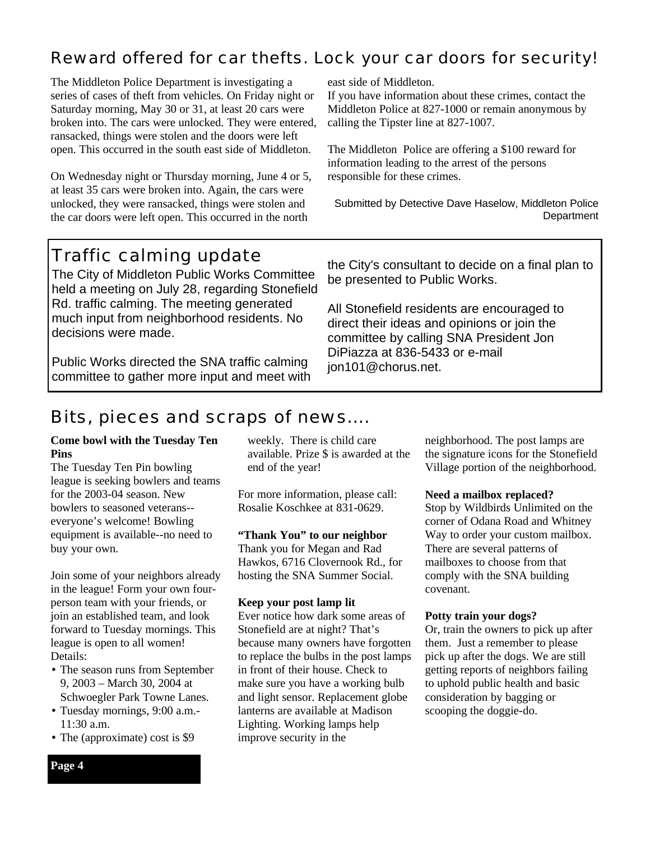### Reward offered for car thefts. Lock your car doors for security!

The Middleton Police Department is investigating a series of cases of theft from vehicles. On Friday night or Saturday morning, May 30 or 31, at least 20 cars were broken into. The cars were unlocked. They were entered, ransacked, things were stolen and the doors were left open. This occurred in the south east side of Middleton.

On Wednesday night or Thursday morning, June 4 or 5, at least 35 cars were broken into. Again, the cars were unlocked, they were ransacked, things were stolen and the car doors were left open. This occurred in the north

east side of Middleton.

If you have information about these crimes, contact the Middleton Police at 827-1000 or remain anonymous by calling the Tipster line at 827-1007.

The Middleton Police are offering a \$100 reward for information leading to the arrest of the persons responsible for these crimes.

Submitted by Detective Dave Haselow, Middleton Police **Department** 

### Traffic calming update

The City of Middleton Public Works Committee held a meeting on July 28, regarding Stonefield Rd. traffic calming. The meeting generated much input from neighborhood residents. No decisions were made.

Public Works directed the SNA traffic calming committee to gather more input and meet with the City's consultant to decide on a final plan to be presented to Public Works.

All Stonefield residents are encouraged to direct their ideas and opinions or join the committee by calling SNA President Jon DiPiazza at 836-5433 or e-mail jon101@chorus.net.

# Bits, pieces and scraps of news….

### **Come bowl with the Tuesday Ten Pins**

The Tuesday Ten Pin bowling league is seeking bowlers and teams for the 2003-04 season. New bowlers to seasoned veterans- everyone's welcome! Bowling equipment is available--no need to buy your own.

Join some of your neighbors already in the league! Form your own fourperson team with your friends, or join an established team, and look forward to Tuesday mornings. This league is open to all women! Details:

- The season runs from September 9, 2003 – March 30, 2004 at Schwoegler Park Towne Lanes.
- Tuesday mornings, 9:00 a.m.- 11:30 a.m.
- The (approximate) cost is \$9

weekly. There is child care available. Prize \$ is awarded at the end of the year!

For more information, please call: Rosalie Koschkee at 831-0629.

### **"Thank You" to our neighbor**

Thank you for Megan and Rad Hawkos, 6716 Clovernook Rd., for hosting the SNA Summer Social.

### **Keep your post lamp lit**

Ever notice how dark some areas of Stonefield are at night? That's because many owners have forgotten to replace the bulbs in the post lamps in front of their house. Check to make sure you have a working bulb and light sensor. Replacement globe lanterns are available at Madison Lighting. Working lamps help improve security in the

neighborhood. The post lamps are the signature icons for the Stonefield Village portion of the neighborhood.

### **Need a mailbox replaced?**

Stop by Wildbirds Unlimited on the corner of Odana Road and Whitney Way to order your custom mailbox. There are several patterns of mailboxes to choose from that comply with the SNA building covenant.

#### **Potty train your dogs?**

Or, train the owners to pick up after them. Just a remember to please pick up after the dogs. We are still getting reports of neighbors failing to uphold public health and basic consideration by bagging or scooping the doggie-do.

### **Page 4**